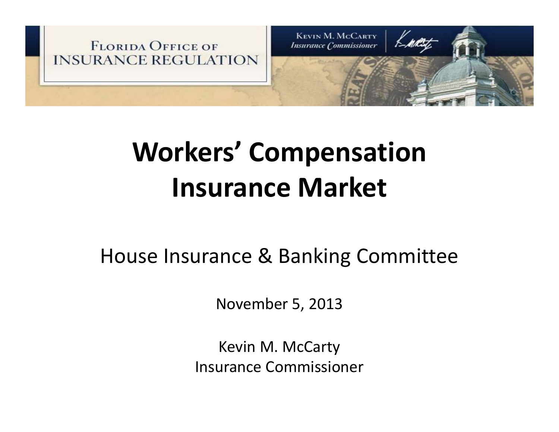

# **Workers' Compensation Insurance Market**

#### House Insurance & Banking Committee

November 5, 2013

Kevin M. McCarty Insurance Commissioner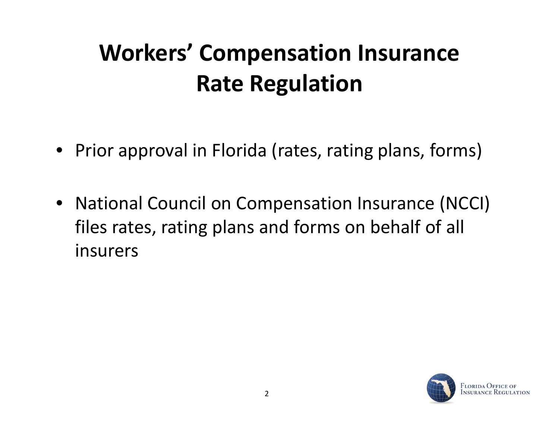# **Workers' Compensation Insurance Rate Regulation**

- Prior approval in Florida (rates, rating plans, forms)
- National Council on Compensation Insurance (NCCI) files rates, rating plans and forms on behalf of all insurers

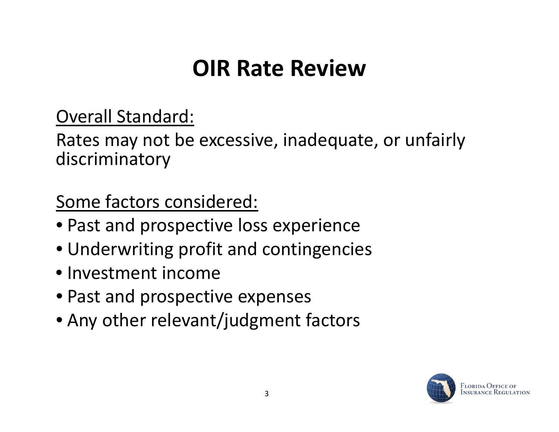### **OIR Rate Review**

Overall Standard:

Rates may not be excessive, inadequate, or unfairly discriminatory

Some factors considered:

- Past and prospective loss experience
- $\bullet$  Underwriting profit and contingencies
- Investment income
- Past and prospective expenses
- Any other relevant/judgment factors

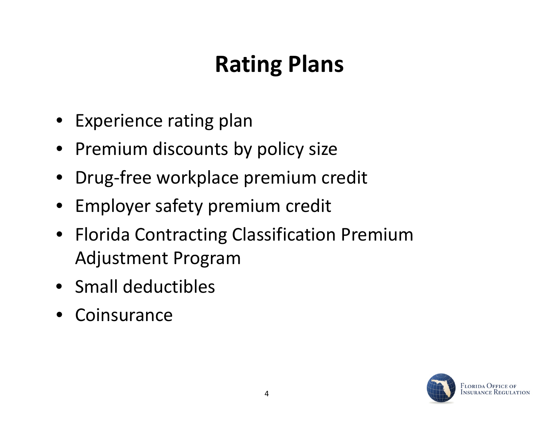# **Rating Plans**

- Experience rating plan
- Premium discounts by policy size
- Drug‐free workplace premium credit
- Employer safety premium credit
- Florida Contracting Classification Premium Adjustment Program
- Small deductibles
- Coinsurance

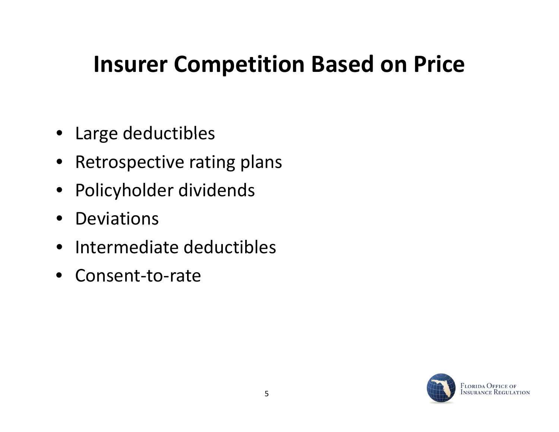### **Insurer Competition Based on Price**

- Large deductibles
- Retrospective rating plans
- Policyholder dividends
- $\bullet$ Deviations
- $\bullet$ • Intermediate deductibles
- $\bullet$ Consent‐to‐rate

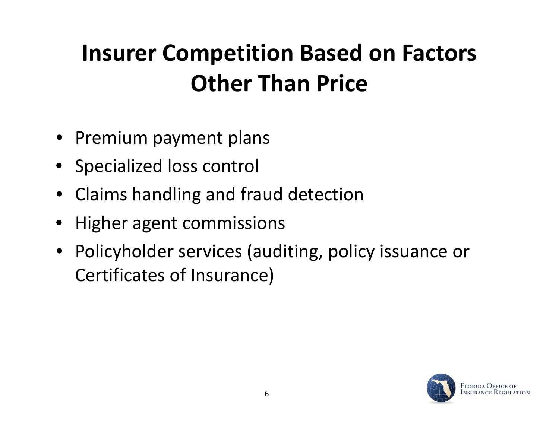# **Insurer Competition Based on Factors Other Than Price**

- Premium payment plans
- Specialized loss control
- Claims handling and fraud detection
- Higher agent commissions
- Policyholder services (auditing, policy issuance or Certificates of Insurance)

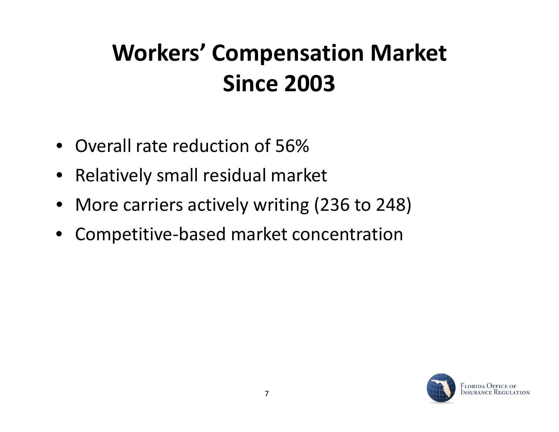# **Workers' Compensation Market Since 2003**

- Overall rate reduction of 56%
- Relatively small residual market
- More carriers actively writing (236 to 248)
- $\bullet$ Competitive‐based market concentration

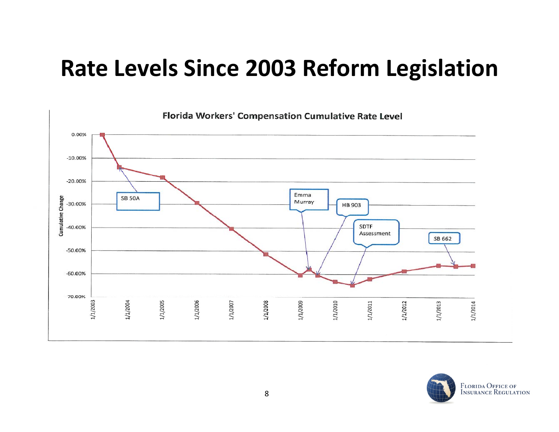#### **Rate Levels Since 2003 Reform Legislation**



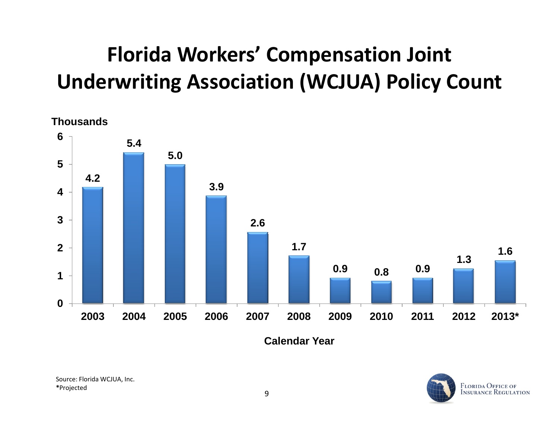#### **Florida Workers' Compensation Joint Underwriting Association (WCJUA) Policy Count**



**Calendar Year**

Source: Florida WCJUA, Inc. **\***Projected

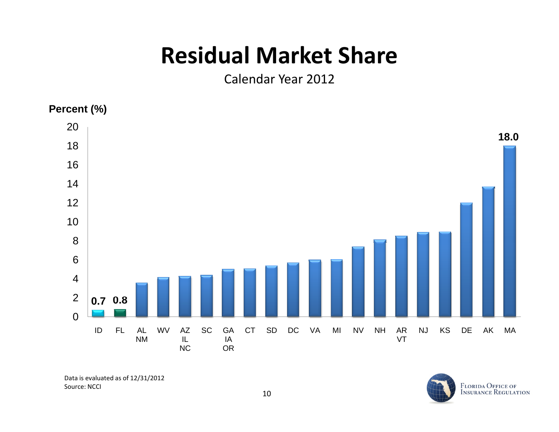### **Residual Market Share**

Calendar Year 2012

#### **Percent (%)**



Data is evaluated as of 12/31/2012 Source: NCCI

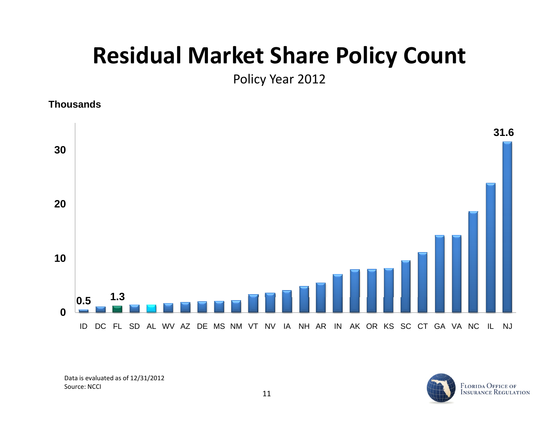#### **Residual Market Share Policy Count**

Policy Year 2012

**Thousands**



Data is evaluated as of 12/31/2012 Source: NCCI

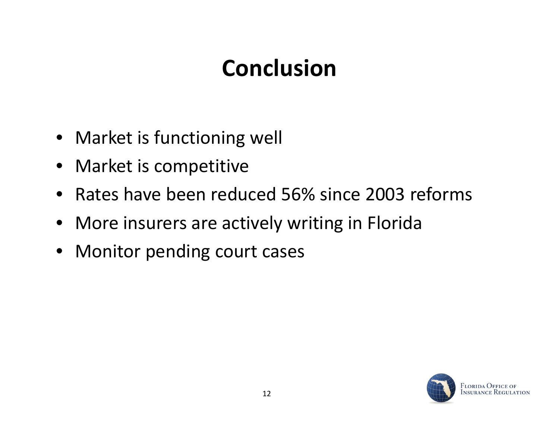## **Conclusion**

- Market is functioning well
- Market is competitive
- Rates have been reduced 56% since 2003 reforms
- More insurers are actively writing in Florida
- Monitor pending court cases